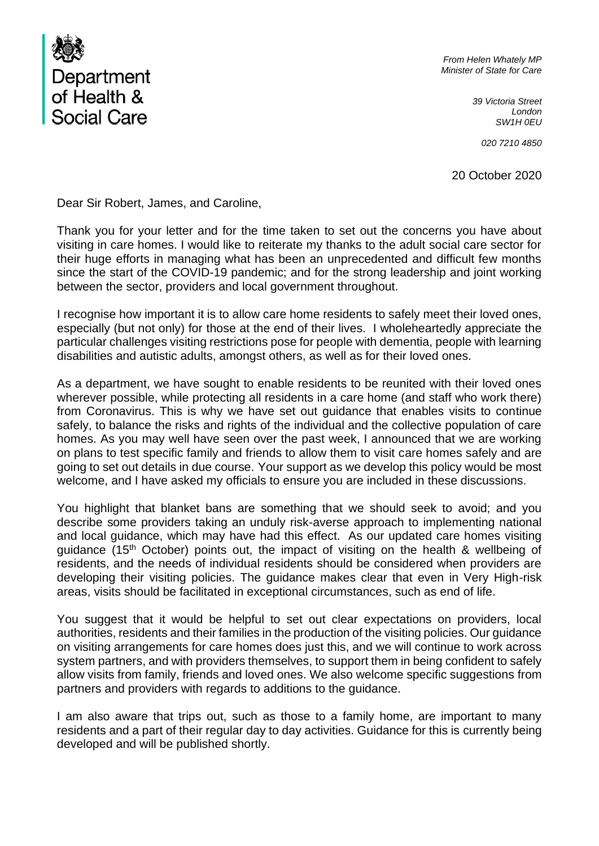

*From Helen Whately MP Minister of State for Care*

> *39 Victoria Street London SW1H 0EU*

> > *020 7210 4850*

20 October 2020

Dear Sir Robert, James, and Caroline,

Thank you for your letter and for the time taken to set out the concerns you have about visiting in care homes. I would like to reiterate my thanks to the adult social care sector for their huge efforts in managing what has been an unprecedented and difficult few months since the start of the COVID-19 pandemic; and for the strong leadership and joint working between the sector, providers and local government throughout.

I recognise how important it is to allow care home residents to safely meet their loved ones, especially (but not only) for those at the end of their lives. I wholeheartedly appreciate the particular challenges visiting restrictions pose for people with dementia, people with learning disabilities and autistic adults, amongst others, as well as for their loved ones.

As a department, we have sought to enable residents to be reunited with their loved ones wherever possible, while protecting all residents in a care home (and staff who work there) from Coronavirus. This is why we have set out guidance that enables visits to continue safely, to balance the risks and rights of the individual and the collective population of care homes. As you may well have seen over the past week, I announced that we are working on plans to test specific family and friends to allow them to visit care homes safely and are going to set out details in due course. Your support as we develop this policy would be most welcome, and I have asked my officials to ensure you are included in these discussions.

You highlight that blanket bans are something that we should seek to avoid; and you describe some providers taking an unduly risk-averse approach to implementing national and local guidance, which may have had this effect. As our updated care homes visiting guidance (15th October) points out, the impact of visiting on the health & wellbeing of residents, and the needs of individual residents should be considered when providers are developing their visiting policies. The guidance makes clear that even in Very High-risk areas, visits should be facilitated in exceptional circumstances, such as end of life.

You suggest that it would be helpful to set out clear expectations on providers, local authorities, residents and their families in the production of the visiting policies. Our guidance on visiting arrangements for care homes does just this, and we will continue to work across system partners, and with providers themselves, to support them in being confident to safely allow visits from family, friends and loved ones. We also welcome specific suggestions from partners and providers with regards to additions to the guidance.

I am also aware that trips out, such as those to a family home, are important to many residents and a part of their regular day to day activities. Guidance for this is currently being developed and will be published shortly.